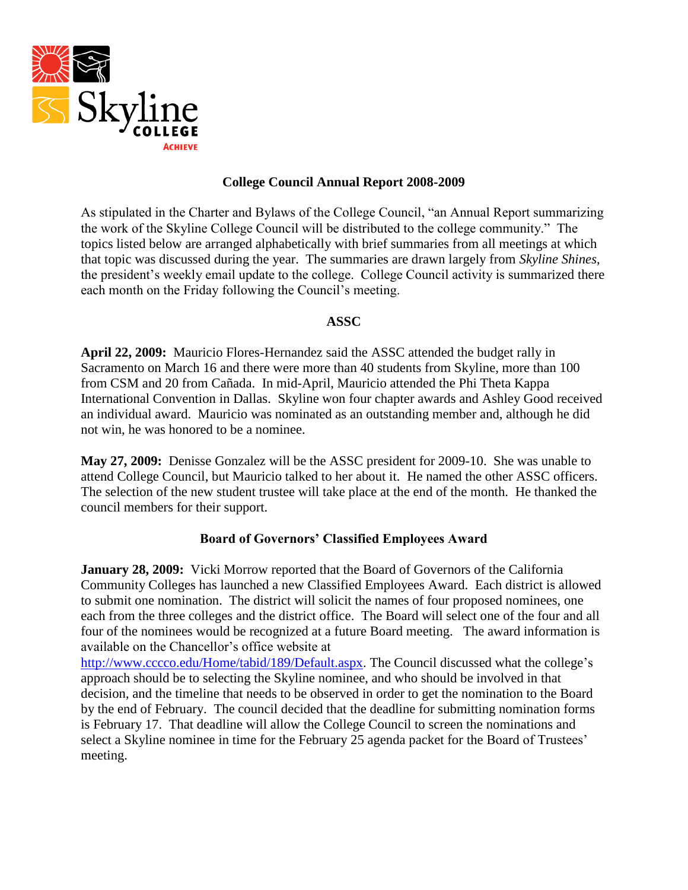

## **College Council Annual Report 2008-2009**

As stipulated in the Charter and Bylaws of the College Council, "an Annual Report summarizing the work of the Skyline College Council will be distributed to the college community." The topics listed below are arranged alphabetically with brief summaries from all meetings at which that topic was discussed during the year. The summaries are drawn largely from *Skyline Shines*, the president"s weekly email update to the college. College Council activity is summarized there each month on the Friday following the Council's meeting.

### **ASSC**

**April 22, 2009:** Mauricio Flores-Hernandez said the ASSC attended the budget rally in Sacramento on March 16 and there were more than 40 students from Skyline, more than 100 from CSM and 20 from Cañada. In mid-April, Mauricio attended the Phi Theta Kappa International Convention in Dallas. Skyline won four chapter awards and Ashley Good received an individual award. Mauricio was nominated as an outstanding member and, although he did not win, he was honored to be a nominee.

**May 27, 2009:** Denisse Gonzalez will be the ASSC president for 2009-10. She was unable to attend College Council, but Mauricio talked to her about it. He named the other ASSC officers. The selection of the new student trustee will take place at the end of the month. He thanked the council members for their support.

## **Board of Governors' Classified Employees Award**

**January 28, 2009:** Vicki Morrow reported that the Board of Governors of the California Community Colleges has launched a new Classified Employees Award. Each district is allowed to submit one nomination. The district will solicit the names of four proposed nominees, one each from the three colleges and the district office. The Board will select one of the four and all four of the nominees would be recognized at a future Board meeting. The award information is available on the Chancellor"s office website at

[http://www.cccco.edu/Home/tabid/189/Default.aspx.](http://www.cccco.edu/Home/tabid/189/Default.aspx) The Council discussed what the college's approach should be to selecting the Skyline nominee, and who should be involved in that decision, and the timeline that needs to be observed in order to get the nomination to the Board by the end of February. The council decided that the deadline for submitting nomination forms is February 17. That deadline will allow the College Council to screen the nominations and select a Skyline nominee in time for the February 25 agenda packet for the Board of Trustees' meeting.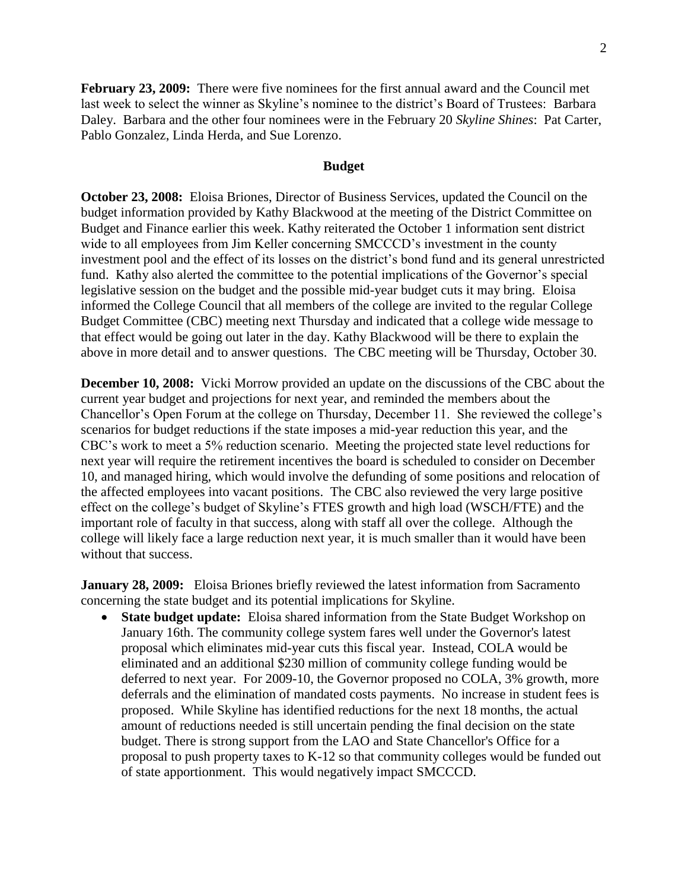**February 23, 2009:** There were five nominees for the first annual award and the Council met last week to select the winner as Skyline's nominee to the district's Board of Trustees: Barbara Daley. Barbara and the other four nominees were in the February 20 *Skyline Shines*: Pat Carter, Pablo Gonzalez, Linda Herda, and Sue Lorenzo.

#### **Budget**

**October 23, 2008:** Eloisa Briones, Director of Business Services, updated the Council on the budget information provided by Kathy Blackwood at the meeting of the District Committee on Budget and Finance earlier this week. Kathy reiterated the October 1 information sent district wide to all employees from Jim Keller concerning SMCCCD's investment in the county investment pool and the effect of its losses on the district's bond fund and its general unrestricted fund. Kathy also alerted the committee to the potential implications of the Governor's special legislative session on the budget and the possible mid-year budget cuts it may bring. Eloisa informed the College Council that all members of the college are invited to the regular College Budget Committee (CBC) meeting next Thursday and indicated that a college wide message to that effect would be going out later in the day. Kathy Blackwood will be there to explain the above in more detail and to answer questions. The CBC meeting will be Thursday, October 30.

**December 10, 2008:** Vicki Morrow provided an update on the discussions of the CBC about the current year budget and projections for next year, and reminded the members about the Chancellor"s Open Forum at the college on Thursday, December 11. She reviewed the college"s scenarios for budget reductions if the state imposes a mid-year reduction this year, and the CBC"s work to meet a 5% reduction scenario. Meeting the projected state level reductions for next year will require the retirement incentives the board is scheduled to consider on December 10, and managed hiring, which would involve the defunding of some positions and relocation of the affected employees into vacant positions. The CBC also reviewed the very large positive effect on the college"s budget of Skyline"s FTES growth and high load (WSCH/FTE) and the important role of faculty in that success, along with staff all over the college. Although the college will likely face a large reduction next year, it is much smaller than it would have been without that success.

**January 28, 2009:** Eloisa Briones briefly reviewed the latest information from Sacramento concerning the state budget and its potential implications for Skyline.

 **State budget update:** Eloisa shared information from the State Budget Workshop on January 16th. The community college system fares well under the Governor's latest proposal which eliminates mid-year cuts this fiscal year. Instead, COLA would be eliminated and an additional \$230 million of community college funding would be deferred to next year. For 2009-10, the Governor proposed no COLA, 3% growth, more deferrals and the elimination of mandated costs payments. No increase in student fees is proposed. While Skyline has identified reductions for the next 18 months, the actual amount of reductions needed is still uncertain pending the final decision on the state budget. There is strong support from the LAO and State Chancellor's Office for a proposal to push property taxes to K-12 so that community colleges would be funded out of state apportionment. This would negatively impact SMCCCD.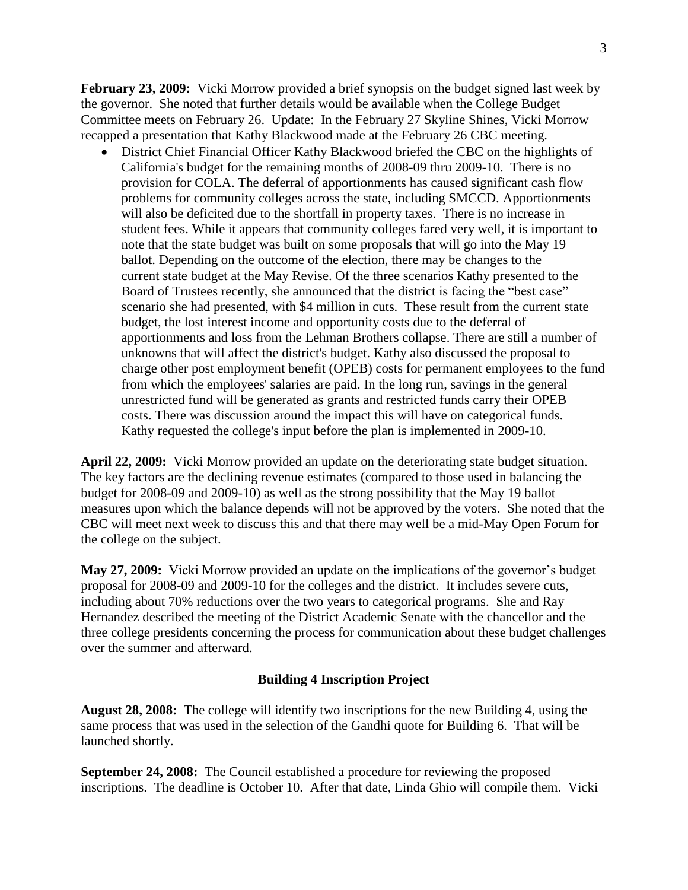**February 23, 2009:** Vicki Morrow provided a brief synopsis on the budget signed last week by the governor. She noted that further details would be available when the College Budget Committee meets on February 26. Update: In the February 27 Skyline Shines, Vicki Morrow recapped a presentation that Kathy Blackwood made at the February 26 CBC meeting.

 District Chief Financial Officer Kathy Blackwood briefed the CBC on the highlights of California's budget for the remaining months of 2008-09 thru 2009-10. There is no provision for COLA. The deferral of apportionments has caused significant cash flow problems for community colleges across the state, including SMCCD. Apportionments will also be deficited due to the shortfall in property taxes. There is no increase in student fees. While it appears that community colleges fared very well, it is important to note that the state budget was built on some proposals that will go into the May 19 ballot. Depending on the outcome of the election, there may be changes to the current state budget at the May Revise. Of the three scenarios Kathy presented to the Board of Trustees recently, she announced that the district is facing the "best case" scenario she had presented, with \$4 million in cuts. These result from the current state budget, the lost interest income and opportunity costs due to the deferral of apportionments and loss from the Lehman Brothers collapse. There are still a number of unknowns that will affect the district's budget. Kathy also discussed the proposal to charge other post employment benefit (OPEB) costs for permanent employees to the fund from which the employees' salaries are paid. In the long run, savings in the general unrestricted fund will be generated as grants and restricted funds carry their OPEB costs. There was discussion around the impact this will have on categorical funds. Kathy requested the college's input before the plan is implemented in 2009-10.

**April 22, 2009:** Vicki Morrow provided an update on the deteriorating state budget situation. The key factors are the declining revenue estimates (compared to those used in balancing the budget for 2008-09 and 2009-10) as well as the strong possibility that the May 19 ballot measures upon which the balance depends will not be approved by the voters. She noted that the CBC will meet next week to discuss this and that there may well be a mid-May Open Forum for the college on the subject.

**May 27, 2009:** Vicki Morrow provided an update on the implications of the governor"s budget proposal for 2008-09 and 2009-10 for the colleges and the district. It includes severe cuts, including about 70% reductions over the two years to categorical programs. She and Ray Hernandez described the meeting of the District Academic Senate with the chancellor and the three college presidents concerning the process for communication about these budget challenges over the summer and afterward.

### **Building 4 Inscription Project**

**August 28, 2008:** The college will identify two inscriptions for the new Building 4, using the same process that was used in the selection of the Gandhi quote for Building 6. That will be launched shortly.

**September 24, 2008:** The Council established a procedure for reviewing the proposed inscriptions. The deadline is October 10. After that date, Linda Ghio will compile them. Vicki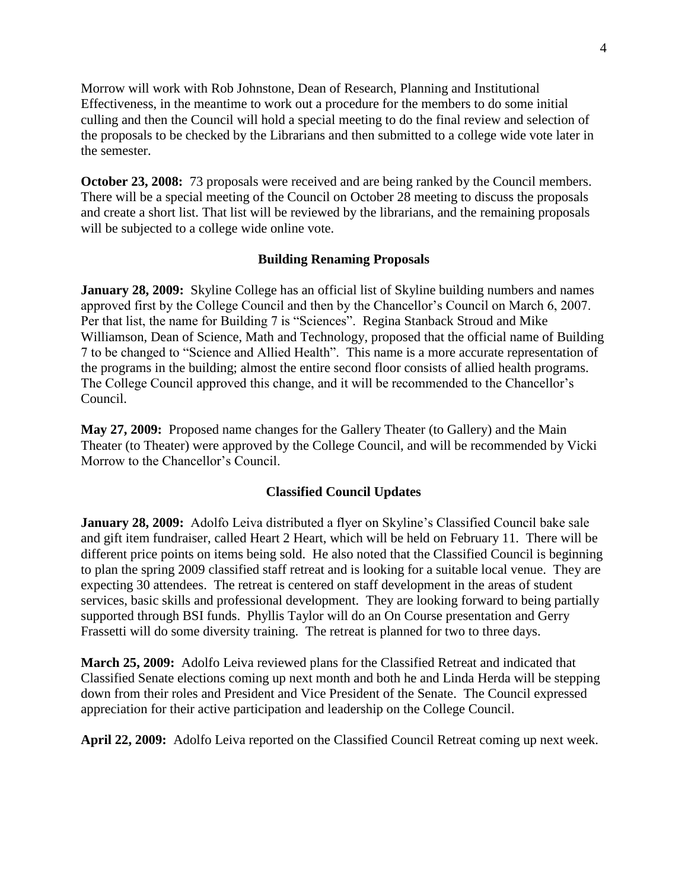Morrow will work with Rob Johnstone, Dean of Research, Planning and Institutional Effectiveness, in the meantime to work out a procedure for the members to do some initial culling and then the Council will hold a special meeting to do the final review and selection of the proposals to be checked by the Librarians and then submitted to a college wide vote later in the semester.

**October 23, 2008:** 73 proposals were received and are being ranked by the Council members. There will be a special meeting of the Council on October 28 meeting to discuss the proposals and create a short list. That list will be reviewed by the librarians, and the remaining proposals will be subjected to a college wide online vote.

### **Building Renaming Proposals**

**January 28, 2009:** Skyline College has an official list of Skyline building numbers and names approved first by the College Council and then by the Chancellor"s Council on March 6, 2007. Per that list, the name for Building 7 is "Sciences". Regina Stanback Stroud and Mike Williamson, Dean of Science, Math and Technology, proposed that the official name of Building 7 to be changed to "Science and Allied Health". This name is a more accurate representation of the programs in the building; almost the entire second floor consists of allied health programs. The College Council approved this change, and it will be recommended to the Chancellor's Council.

**May 27, 2009:** Proposed name changes for the Gallery Theater (to Gallery) and the Main Theater (to Theater) were approved by the College Council, and will be recommended by Vicki Morrow to the Chancellor's Council.

#### **Classified Council Updates**

**January 28, 2009:** Adolfo Leiva distributed a flyer on Skyline's Classified Council bake sale and gift item fundraiser, called Heart 2 Heart, which will be held on February 11. There will be different price points on items being sold. He also noted that the Classified Council is beginning to plan the spring 2009 classified staff retreat and is looking for a suitable local venue. They are expecting 30 attendees. The retreat is centered on staff development in the areas of student services, basic skills and professional development. They are looking forward to being partially supported through BSI funds. Phyllis Taylor will do an On Course presentation and Gerry Frassetti will do some diversity training. The retreat is planned for two to three days.

**March 25, 2009:** Adolfo Leiva reviewed plans for the Classified Retreat and indicated that Classified Senate elections coming up next month and both he and Linda Herda will be stepping down from their roles and President and Vice President of the Senate. The Council expressed appreciation for their active participation and leadership on the College Council.

**April 22, 2009:** Adolfo Leiva reported on the Classified Council Retreat coming up next week.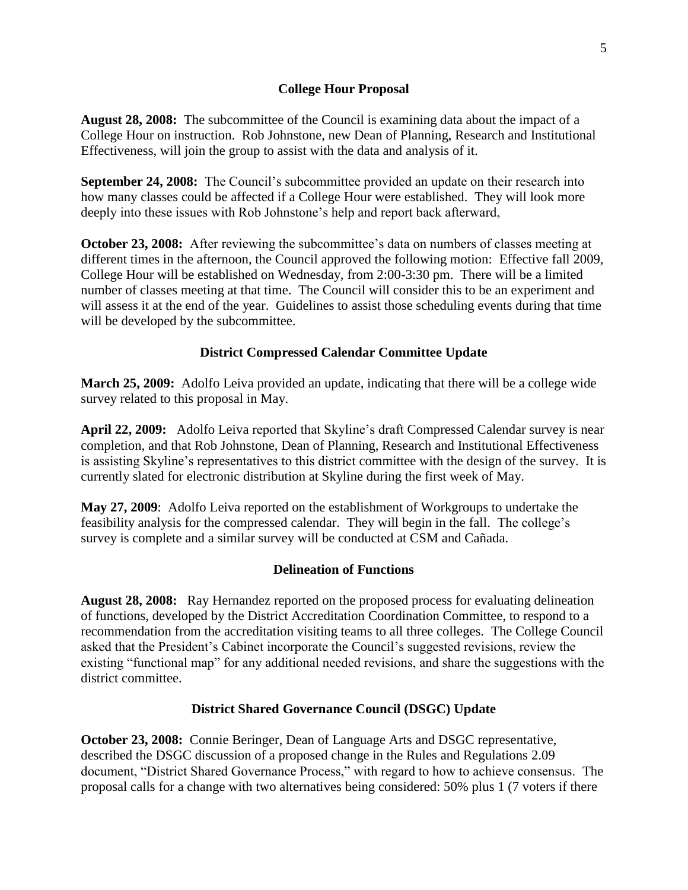### **College Hour Proposal**

**August 28, 2008:** The subcommittee of the Council is examining data about the impact of a College Hour on instruction. Rob Johnstone, new Dean of Planning, Research and Institutional Effectiveness, will join the group to assist with the data and analysis of it.

**September 24, 2008:** The Council's subcommittee provided an update on their research into how many classes could be affected if a College Hour were established. They will look more deeply into these issues with Rob Johnstone's help and report back afterward,

**October 23, 2008:** After reviewing the subcommittee's data on numbers of classes meeting at different times in the afternoon, the Council approved the following motion: Effective fall 2009, College Hour will be established on Wednesday, from 2:00-3:30 pm. There will be a limited number of classes meeting at that time. The Council will consider this to be an experiment and will assess it at the end of the year. Guidelines to assist those scheduling events during that time will be developed by the subcommittee.

## **District Compressed Calendar Committee Update**

**March 25, 2009:** Adolfo Leiva provided an update, indicating that there will be a college wide survey related to this proposal in May.

April 22, 2009: Adolfo Leiva reported that Skyline's draft Compressed Calendar survey is near completion, and that Rob Johnstone, Dean of Planning, Research and Institutional Effectiveness is assisting Skyline"s representatives to this district committee with the design of the survey. It is currently slated for electronic distribution at Skyline during the first week of May.

**May 27, 2009**: Adolfo Leiva reported on the establishment of Workgroups to undertake the feasibility analysis for the compressed calendar. They will begin in the fall. The college"s survey is complete and a similar survey will be conducted at CSM and Cañada.

## **Delineation of Functions**

**August 28, 2008:** Ray Hernandez reported on the proposed process for evaluating delineation of functions, developed by the District Accreditation Coordination Committee, to respond to a recommendation from the accreditation visiting teams to all three colleges. The College Council asked that the President"s Cabinet incorporate the Council"s suggested revisions, review the existing "functional map" for any additional needed revisions, and share the suggestions with the district committee.

### **District Shared Governance Council (DSGC) Update**

**October 23, 2008:** Connie Beringer, Dean of Language Arts and DSGC representative, described the DSGC discussion of a proposed change in the Rules and Regulations 2.09 document, "District Shared Governance Process," with regard to how to achieve consensus. The proposal calls for a change with two alternatives being considered: 50% plus 1 (7 voters if there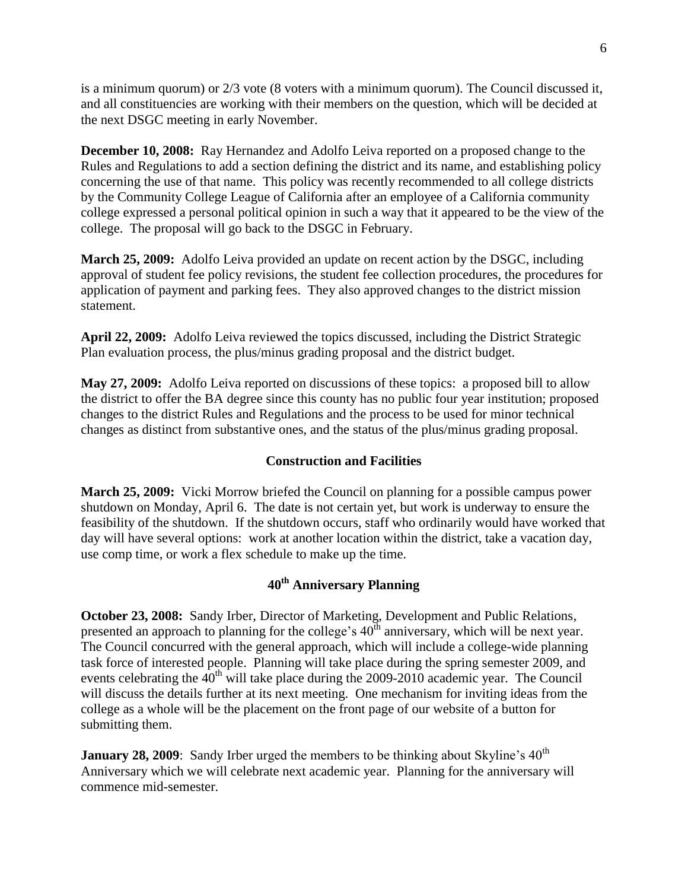is a minimum quorum) or 2/3 vote (8 voters with a minimum quorum). The Council discussed it, and all constituencies are working with their members on the question, which will be decided at the next DSGC meeting in early November.

**December 10, 2008:** Ray Hernandez and Adolfo Leiva reported on a proposed change to the Rules and Regulations to add a section defining the district and its name, and establishing policy concerning the use of that name. This policy was recently recommended to all college districts by the Community College League of California after an employee of a California community college expressed a personal political opinion in such a way that it appeared to be the view of the college. The proposal will go back to the DSGC in February.

**March 25, 2009:** Adolfo Leiva provided an update on recent action by the DSGC, including approval of student fee policy revisions, the student fee collection procedures, the procedures for application of payment and parking fees. They also approved changes to the district mission statement.

**April 22, 2009:** Adolfo Leiva reviewed the topics discussed, including the District Strategic Plan evaluation process, the plus/minus grading proposal and the district budget.

**May 27, 2009:** Adolfo Leiva reported on discussions of these topics: a proposed bill to allow the district to offer the BA degree since this county has no public four year institution; proposed changes to the district Rules and Regulations and the process to be used for minor technical changes as distinct from substantive ones, and the status of the plus/minus grading proposal.

### **Construction and Facilities**

**March 25, 2009:** Vicki Morrow briefed the Council on planning for a possible campus power shutdown on Monday, April 6. The date is not certain yet, but work is underway to ensure the feasibility of the shutdown. If the shutdown occurs, staff who ordinarily would have worked that day will have several options: work at another location within the district, take a vacation day, use comp time, or work a flex schedule to make up the time.

# **40th Anniversary Planning**

**October 23, 2008:** Sandy Irber, Director of Marketing, Development and Public Relations, presented an approach to planning for the college's  $40<sup>th</sup>$  anniversary, which will be next year. The Council concurred with the general approach, which will include a college-wide planning task force of interested people. Planning will take place during the spring semester 2009, and events celebrating the  $40<sup>th</sup>$  will take place during the 2009-2010 academic year. The Council will discuss the details further at its next meeting. One mechanism for inviting ideas from the college as a whole will be the placement on the front page of our website of a button for submitting them.

**January 28, 2009:** Sandy Irber urged the members to be thinking about Skyline's 40<sup>th</sup> Anniversary which we will celebrate next academic year. Planning for the anniversary will commence mid-semester.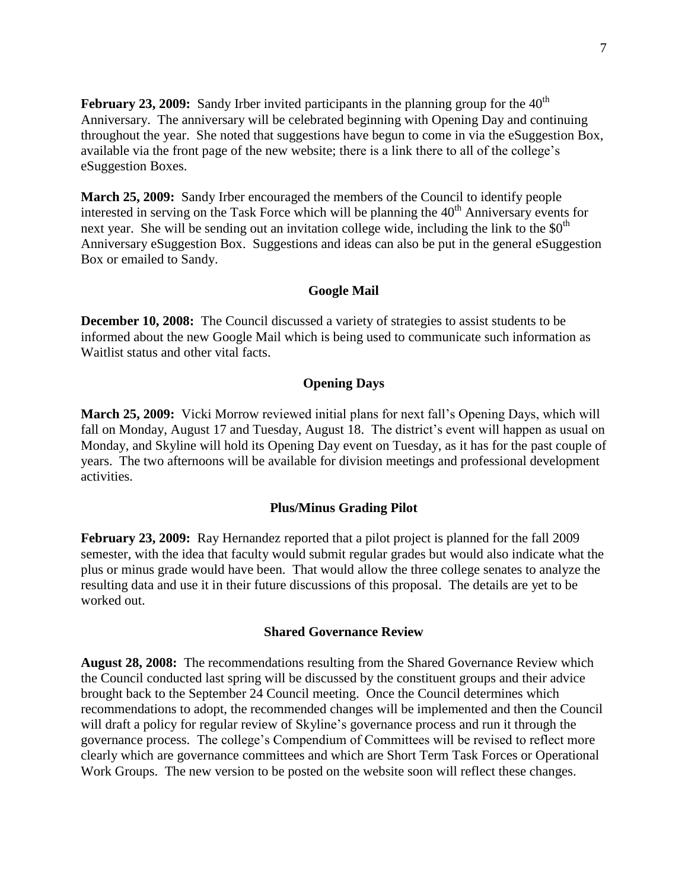**February 23, 2009:** Sandy Irber invited participants in the planning group for the  $40<sup>th</sup>$ Anniversary. The anniversary will be celebrated beginning with Opening Day and continuing throughout the year. She noted that suggestions have begun to come in via the eSuggestion Box, available via the front page of the new website; there is a link there to all of the college"s eSuggestion Boxes.

**March 25, 2009:** Sandy Irber encouraged the members of the Council to identify people interested in serving on the Task Force which will be planning the  $40<sup>th</sup>$  Anniversary events for next year. She will be sending out an invitation college wide, including the link to the  $\$0^{\text{th}}$ Anniversary eSuggestion Box. Suggestions and ideas can also be put in the general eSuggestion Box or emailed to Sandy.

#### **Google Mail**

**December 10, 2008:** The Council discussed a variety of strategies to assist students to be informed about the new Google Mail which is being used to communicate such information as Waitlist status and other vital facts.

#### **Opening Days**

**March 25, 2009:** Vicki Morrow reviewed initial plans for next fall"s Opening Days, which will fall on Monday, August 17 and Tuesday, August 18. The district's event will happen as usual on Monday, and Skyline will hold its Opening Day event on Tuesday, as it has for the past couple of years. The two afternoons will be available for division meetings and professional development activities.

#### **Plus/Minus Grading Pilot**

**February 23, 2009:** Ray Hernandez reported that a pilot project is planned for the fall 2009 semester, with the idea that faculty would submit regular grades but would also indicate what the plus or minus grade would have been. That would allow the three college senates to analyze the resulting data and use it in their future discussions of this proposal. The details are yet to be worked out.

#### **Shared Governance Review**

**August 28, 2008:** The recommendations resulting from the Shared Governance Review which the Council conducted last spring will be discussed by the constituent groups and their advice brought back to the September 24 Council meeting. Once the Council determines which recommendations to adopt, the recommended changes will be implemented and then the Council will draft a policy for regular review of Skyline's governance process and run it through the governance process. The college"s Compendium of Committees will be revised to reflect more clearly which are governance committees and which are Short Term Task Forces or Operational Work Groups. The new version to be posted on the website soon will reflect these changes.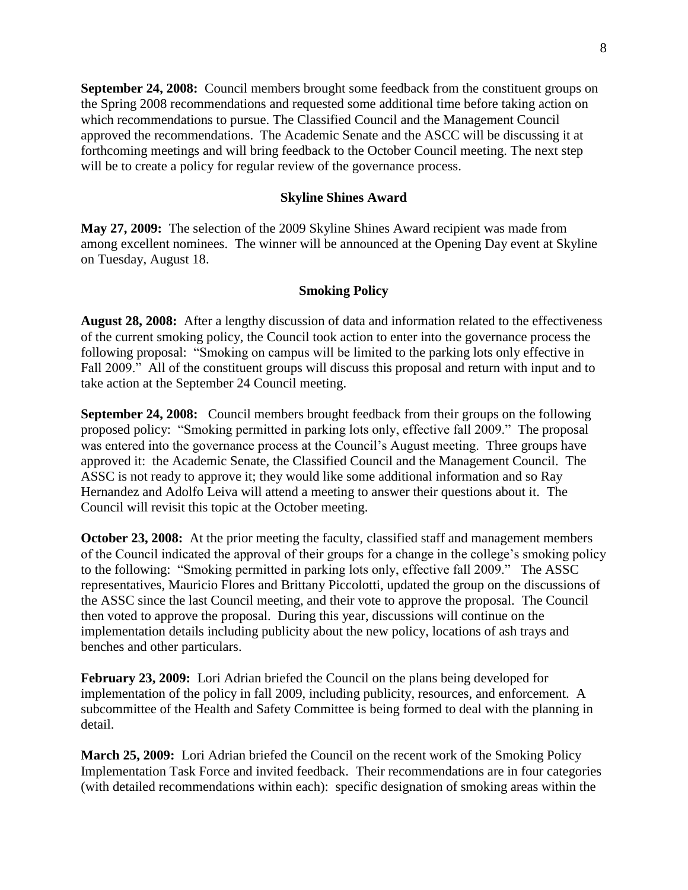**September 24, 2008:** Council members brought some feedback from the constituent groups on the Spring 2008 recommendations and requested some additional time before taking action on which recommendations to pursue. The Classified Council and the Management Council approved the recommendations. The Academic Senate and the ASCC will be discussing it at forthcoming meetings and will bring feedback to the October Council meeting. The next step will be to create a policy for regular review of the governance process.

#### **Skyline Shines Award**

**May 27, 2009:** The selection of the 2009 Skyline Shines Award recipient was made from among excellent nominees. The winner will be announced at the Opening Day event at Skyline on Tuesday, August 18.

#### **Smoking Policy**

**August 28, 2008:** After a lengthy discussion of data and information related to the effectiveness of the current smoking policy, the Council took action to enter into the governance process the following proposal: "Smoking on campus will be limited to the parking lots only effective in Fall 2009." All of the constituent groups will discuss this proposal and return with input and to take action at the September 24 Council meeting.

**September 24, 2008:** Council members brought feedback from their groups on the following proposed policy: "Smoking permitted in parking lots only, effective fall 2009." The proposal was entered into the governance process at the Council's August meeting. Three groups have approved it: the Academic Senate, the Classified Council and the Management Council. The ASSC is not ready to approve it; they would like some additional information and so Ray Hernandez and Adolfo Leiva will attend a meeting to answer their questions about it. The Council will revisit this topic at the October meeting.

**October 23, 2008:** At the prior meeting the faculty, classified staff and management members of the Council indicated the approval of their groups for a change in the college"s smoking policy to the following: "Smoking permitted in parking lots only, effective fall 2009." The ASSC representatives, Mauricio Flores and Brittany Piccolotti, updated the group on the discussions of the ASSC since the last Council meeting, and their vote to approve the proposal. The Council then voted to approve the proposal. During this year, discussions will continue on the implementation details including publicity about the new policy, locations of ash trays and benches and other particulars.

**February 23, 2009:** Lori Adrian briefed the Council on the plans being developed for implementation of the policy in fall 2009, including publicity, resources, and enforcement. A subcommittee of the Health and Safety Committee is being formed to deal with the planning in detail.

**March 25, 2009:** Lori Adrian briefed the Council on the recent work of the Smoking Policy Implementation Task Force and invited feedback. Their recommendations are in four categories (with detailed recommendations within each): specific designation of smoking areas within the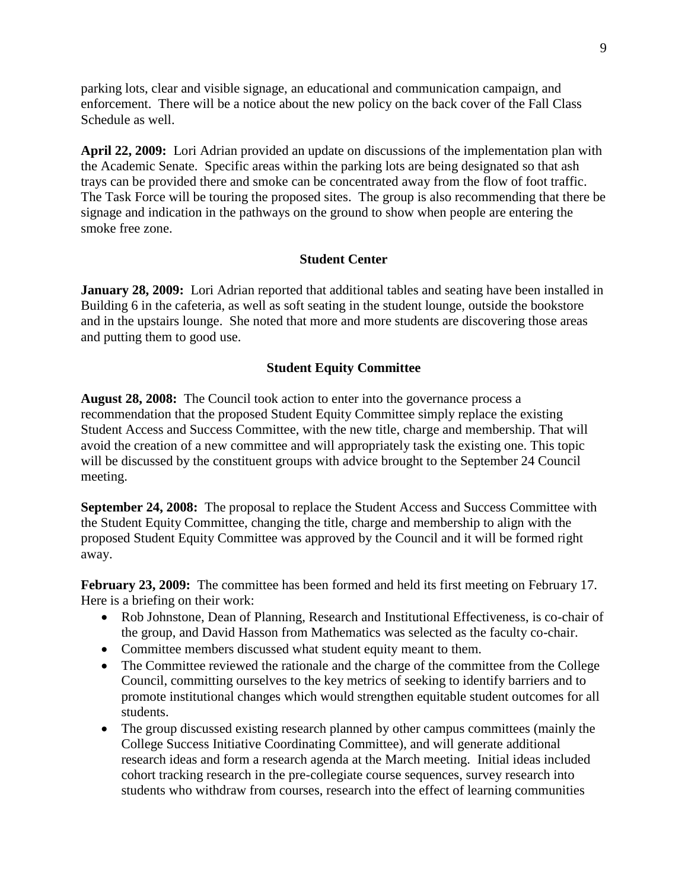parking lots, clear and visible signage, an educational and communication campaign, and enforcement. There will be a notice about the new policy on the back cover of the Fall Class Schedule as well.

**April 22, 2009:** Lori Adrian provided an update on discussions of the implementation plan with the Academic Senate. Specific areas within the parking lots are being designated so that ash trays can be provided there and smoke can be concentrated away from the flow of foot traffic. The Task Force will be touring the proposed sites. The group is also recommending that there be signage and indication in the pathways on the ground to show when people are entering the smoke free zone.

### **Student Center**

**January 28, 2009:** Lori Adrian reported that additional tables and seating have been installed in Building 6 in the cafeteria, as well as soft seating in the student lounge, outside the bookstore and in the upstairs lounge. She noted that more and more students are discovering those areas and putting them to good use.

### **Student Equity Committee**

**August 28, 2008:** The Council took action to enter into the governance process a recommendation that the proposed Student Equity Committee simply replace the existing Student Access and Success Committee, with the new title, charge and membership. That will avoid the creation of a new committee and will appropriately task the existing one. This topic will be discussed by the constituent groups with advice brought to the September 24 Council meeting.

**September 24, 2008:** The proposal to replace the Student Access and Success Committee with the Student Equity Committee, changing the title, charge and membership to align with the proposed Student Equity Committee was approved by the Council and it will be formed right away.

**February 23, 2009:** The committee has been formed and held its first meeting on February 17. Here is a briefing on their work:

- Rob Johnstone, Dean of Planning, Research and Institutional Effectiveness, is co-chair of the group, and David Hasson from Mathematics was selected as the faculty co-chair.
- Committee members discussed what student equity meant to them.
- The Committee reviewed the rationale and the charge of the committee from the College Council, committing ourselves to the key metrics of seeking to identify barriers and to promote institutional changes which would strengthen equitable student outcomes for all students.
- The group discussed existing research planned by other campus committees (mainly the College Success Initiative Coordinating Committee), and will generate additional research ideas and form a research agenda at the March meeting. Initial ideas included cohort tracking research in the pre-collegiate course sequences, survey research into students who withdraw from courses, research into the effect of learning communities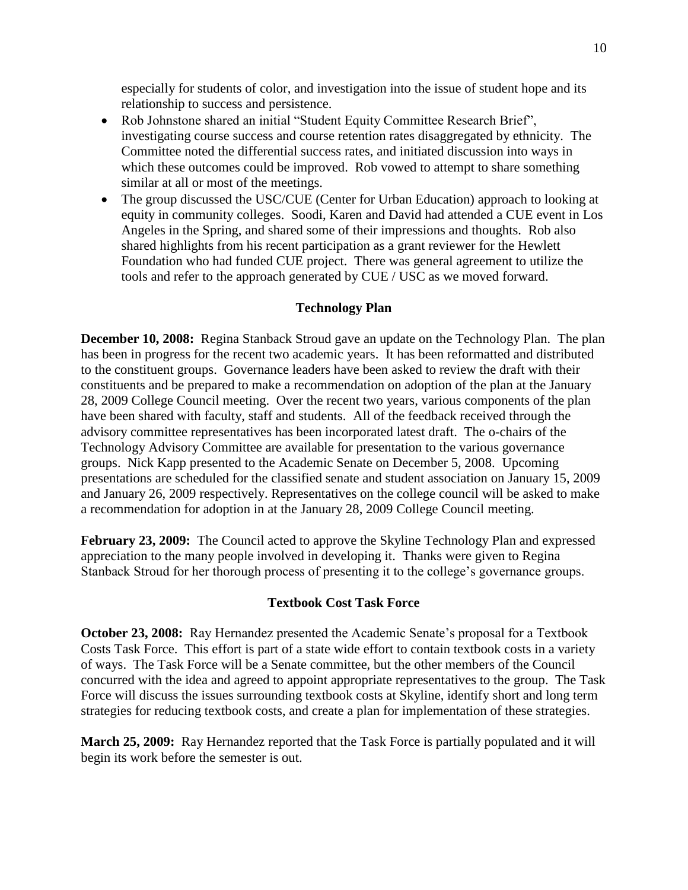especially for students of color, and investigation into the issue of student hope and its relationship to success and persistence.

- Rob Johnstone shared an initial "Student Equity Committee Research Brief", investigating course success and course retention rates disaggregated by ethnicity. The Committee noted the differential success rates, and initiated discussion into ways in which these outcomes could be improved. Rob vowed to attempt to share something similar at all or most of the meetings.
- The group discussed the USC/CUE (Center for Urban Education) approach to looking at equity in community colleges. Soodi, Karen and David had attended a CUE event in Los Angeles in the Spring, and shared some of their impressions and thoughts. Rob also shared highlights from his recent participation as a grant reviewer for the Hewlett Foundation who had funded CUE project. There was general agreement to utilize the tools and refer to the approach generated by CUE / USC as we moved forward.

### **Technology Plan**

**December 10, 2008:** Regina Stanback Stroud gave an update on the Technology Plan. The plan has been in progress for the recent two academic years. It has been reformatted and distributed to the constituent groups. Governance leaders have been asked to review the draft with their constituents and be prepared to make a recommendation on adoption of the plan at the January 28, 2009 College Council meeting. Over the recent two years, various components of the plan have been shared with faculty, staff and students. All of the feedback received through the advisory committee representatives has been incorporated latest draft. The o-chairs of the Technology Advisory Committee are available for presentation to the various governance groups. Nick Kapp presented to the Academic Senate on December 5, 2008. Upcoming presentations are scheduled for the classified senate and student association on January 15, 2009 and January 26, 2009 respectively. Representatives on the college council will be asked to make a recommendation for adoption in at the January 28, 2009 College Council meeting.

**February 23, 2009:** The Council acted to approve the Skyline Technology Plan and expressed appreciation to the many people involved in developing it. Thanks were given to Regina Stanback Stroud for her thorough process of presenting it to the college"s governance groups.

### **Textbook Cost Task Force**

**October 23, 2008:** Ray Hernandez presented the Academic Senate's proposal for a Textbook Costs Task Force. This effort is part of a state wide effort to contain textbook costs in a variety of ways. The Task Force will be a Senate committee, but the other members of the Council concurred with the idea and agreed to appoint appropriate representatives to the group. The Task Force will discuss the issues surrounding textbook costs at Skyline, identify short and long term strategies for reducing textbook costs, and create a plan for implementation of these strategies.

**March 25, 2009:** Ray Hernandez reported that the Task Force is partially populated and it will begin its work before the semester is out.